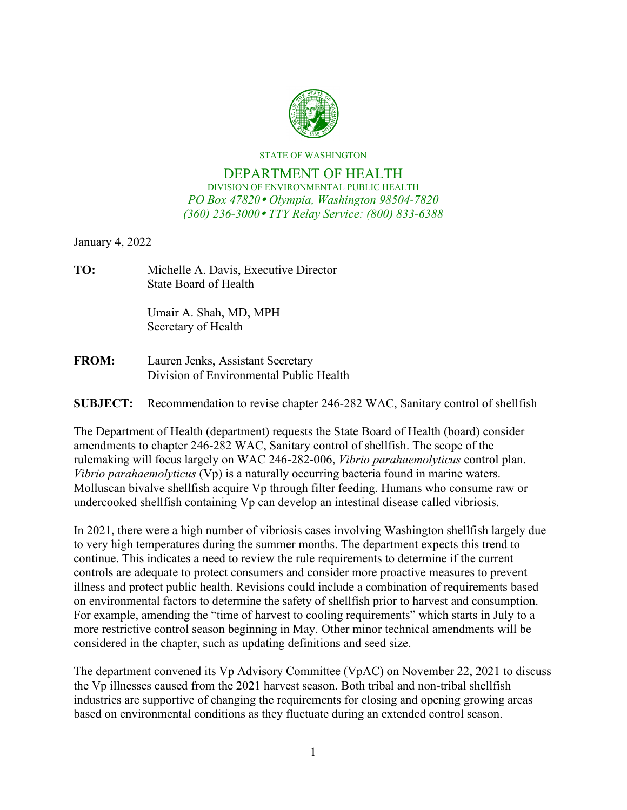

STATE OF WASHINGTON

## DEPARTMENT OF HEALTH DIVISION OF ENVIRONMENTAL PUBLIC HEALTH *PO Box 47820 Olympia, Washington 98504-7820 (360) 236-3000 TTY Relay Service: (800) 833-6388*

January 4, 2022

**TO:** Michelle A. Davis, Executive Director State Board of Health

> Umair A. Shah, MD, MPH Secretary of Health

**FROM:** Lauren Jenks, Assistant Secretary Division of Environmental Public Health

**SUBJECT:** Recommendation to revise chapter 246-282 WAC, Sanitary control of shellfish

The Department of Health (department) requests the State Board of Health (board) consider amendments to chapter 246-282 WAC, Sanitary control of shellfish. The scope of the rulemaking will focus largely on WAC 246-282-006, *Vibrio parahaemolyticus* control plan. *Vibrio parahaemolyticus* (Vp) is a naturally occurring bacteria found in marine waters. Molluscan bivalve shellfish acquire Vp through filter feeding. Humans who consume raw or undercooked shellfish containing Vp can develop an intestinal disease called vibriosis.

In 2021, there were a high number of vibriosis cases involving Washington shellfish largely due to very high temperatures during the summer months. The department expects this trend to continue. This indicates a need to review the rule requirements to determine if the current controls are adequate to protect consumers and consider more proactive measures to prevent illness and protect public health. Revisions could include a combination of requirements based on environmental factors to determine the safety of shellfish prior to harvest and consumption. For example, amending the "time of harvest to cooling requirements" which starts in July to a more restrictive control season beginning in May. Other minor technical amendments will be considered in the chapter, such as updating definitions and seed size.

The department convened its Vp Advisory Committee (VpAC) on November 22, 2021 to discuss the Vp illnesses caused from the 2021 harvest season. Both tribal and non-tribal shellfish industries are supportive of changing the requirements for closing and opening growing areas based on environmental conditions as they fluctuate during an extended control season.